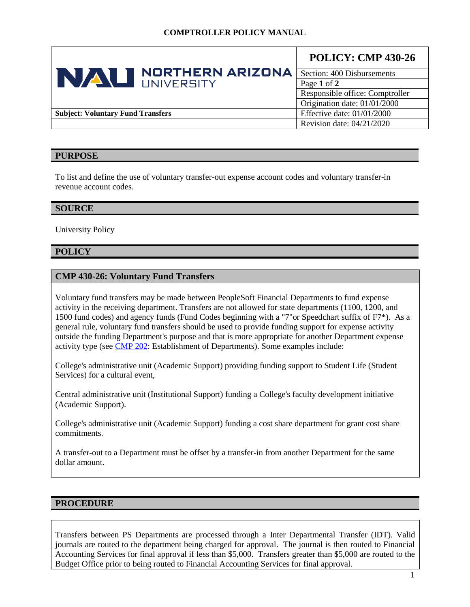|                                          | <b>NORTHERN ARIZONA</b><br>NAU NORTHERN | <b>POLICY: CMP 430-26</b>       |
|------------------------------------------|-----------------------------------------|---------------------------------|
|                                          |                                         | Section: 400 Disbursements      |
|                                          |                                         | Page 1 of 2                     |
|                                          |                                         | Responsible office: Comptroller |
|                                          |                                         | Origination date: 01/01/2000    |
| <b>Subject: Voluntary Fund Transfers</b> |                                         | Effective date: $01/01/2000$    |
|                                          |                                         | Revision date: 04/21/2020       |

### **PURPOSE**

To list and define the use of voluntary transfer-out expense account codes and voluntary transfer-in revenue account codes.

#### **SOURCE**

University Policy

### **POLICY**

#### **CMP 430-26: Voluntary Fund Transfers**

Voluntary fund transfers may be made between PeopleSoft Financial Departments to fund expense activity in the receiving department. Transfers are not allowed for state departments (1100, 1200, and 1500 fund codes) and agency funds (Fund Codes beginning with a "7"or Speedchart suffix of F7\*). As a general rule, voluntary fund transfers should be used to provide funding support for expense activity outside the funding Department's purpose and that is more appropriate for another Department expense activity type (see [CMP 202:](https://nau.edu/university-policy-library/wp-content/uploads/sites/26/Comptroller-202.pdf) Establishment of Departments). Some examples include:

College's administrative unit (Academic Support) providing funding support to Student Life (Student Services) for a cultural event,

Central administrative unit (Institutional Support) funding a College's faculty development initiative (Academic Support).

College's administrative unit (Academic Support) funding a cost share department for grant cost share commitments.

A transfer-out to a Department must be offset by a transfer-in from another Department for the same dollar amount.

#### **PROCEDURE**

Transfers between PS Departments are processed through a Inter Departmental Transfer (IDT). Valid journals are routed to the department being charged for approval. The journal is then routed to Financial Accounting Services for final approval if less than \$5,000. Transfers greater than \$5,000 are routed to the Budget Office prior to being routed to Financial Accounting Services for final approval.